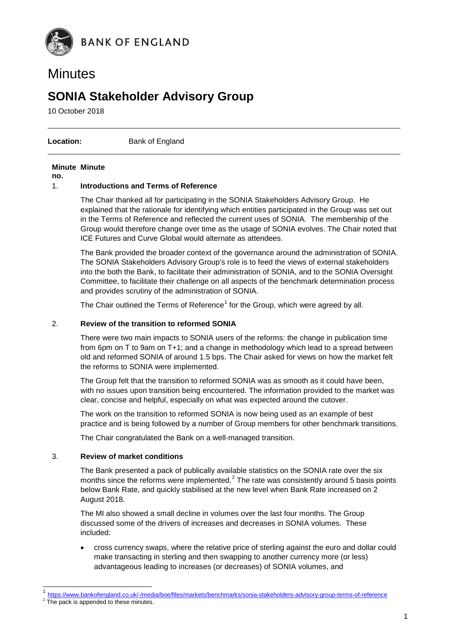

## **Minutes**

## **SONIA Stakeholder Advisory Group**

10 October 2018

**Location:** Bank of England

#### **Minute Minute**

**no.**

#### 1. **Introductions and Terms of Reference**

The Chair thanked all for participating in the SONIA Stakeholders Advisory Group. He explained that the rationale for identifying which entities participated in the Group was set out in the Terms of Reference and reflected the current uses of SONIA. The membership of the Group would therefore change over time as the usage of SONIA evolves. The Chair noted that ICE Futures and Curve Global would alternate as attendees.

The Bank provided the broader context of the governance around the administration of SONIA. The SONIA Stakeholders Advisory Group's role is to feed the views of external stakeholders into the both the Bank, to facilitate their administration of SONIA, and to the SONIA Oversight Committee, to facilitate their challenge on all aspects of the benchmark determination process and provides scrutiny of the administration of SONIA.

The Chair outlined the Terms of Reference<sup>[1](#page-0-0)</sup> for the Group, which were agreed by all.

#### 2. **Review of the transition to reformed SONIA**

There were two main impacts to SONIA users of the reforms: the change in publication time from 6pm on T to 9am on T+1; and a change in methodology which lead to a spread between old and reformed SONIA of around 1.5 bps. The Chair asked for views on how the market felt the reforms to SONIA were implemented.

The Group felt that the transition to reformed SONIA was as smooth as it could have been, with no issues upon transition being encountered. The information provided to the market was clear, concise and helpful, especially on what was expected around the cutover.

The work on the transition to reformed SONIA is now being used as an example of best practice and is being followed by a number of Group members for other benchmark transitions.

The Chair congratulated the Bank on a well-managed transition.

#### 3. **Review of market conditions**

The Bank presented a pack of publically available statistics on the SONIA rate over the six months since the reforms were implemented. $2$  The rate was consistently around 5 basis points below Bank Rate, and quickly stabilised at the new level when Bank Rate increased on 2 August 2018.

The MI also showed a small decline in volumes over the last four months. The Group discussed some of the drivers of increases and decreases in SONIA volumes. These included:

• cross currency swaps, where the relative price of sterling against the euro and dollar could make transacting in sterling and then swapping to another currency more (or less) advantageous leading to increases (or decreases) of SONIA volumes, and

<span id="page-0-1"></span><span id="page-0-0"></span><https://www.bankofengland.co.uk/-/media/boe/files/markets/benchmarks/sonia-stakeholders-advisory-group-terms-of-reference><br>The pack is appended to these minutes.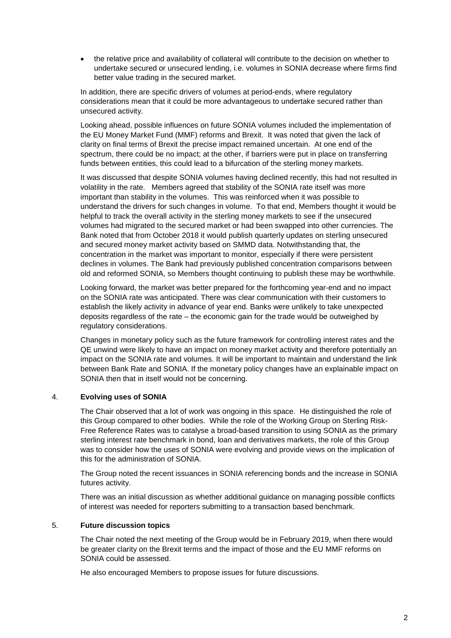• the relative price and availability of collateral will contribute to the decision on whether to undertake secured or unsecured lending, i.e. volumes in SONIA decrease where firms find better value trading in the secured market.

In addition, there are specific drivers of volumes at period-ends, where regulatory considerations mean that it could be more advantageous to undertake secured rather than unsecured activity.

Looking ahead, possible influences on future SONIA volumes included the implementation of the EU Money Market Fund (MMF) reforms and Brexit. It was noted that given the lack of clarity on final terms of Brexit the precise impact remained uncertain. At one end of the spectrum, there could be no impact; at the other, if barriers were put in place on transferring funds between entities, this could lead to a bifurcation of the sterling money markets.

It was discussed that despite SONIA volumes having declined recently, this had not resulted in volatility in the rate. Members agreed that stability of the SONIA rate itself was more important than stability in the volumes. This was reinforced when it was possible to understand the drivers for such changes in volume. To that end, Members thought it would be helpful to track the overall activity in the sterling money markets to see if the unsecured volumes had migrated to the secured market or had been swapped into other currencies. The Bank noted that from October 2018 it would publish quarterly updates on sterling unsecured and secured money market activity based on SMMD data. Notwithstanding that, the concentration in the market was important to monitor, especially if there were persistent declines in volumes. The Bank had previously published concentration comparisons between old and reformed SONIA, so Members thought continuing to publish these may be worthwhile.

Looking forward, the market was better prepared for the forthcoming year-end and no impact on the SONIA rate was anticipated. There was clear communication with their customers to establish the likely activity in advance of year end. Banks were unlikely to take unexpected deposits regardless of the rate – the economic gain for the trade would be outweighed by regulatory considerations.

Changes in monetary policy such as the future framework for controlling interest rates and the QE unwind were likely to have an impact on money market activity and therefore potentially an impact on the SONIA rate and volumes. It will be important to maintain and understand the link between Bank Rate and SONIA. If the monetary policy changes have an explainable impact on SONIA then that in itself would not be concerning.

#### 4. **Evolving uses of SONIA**

The Chair observed that a lot of work was ongoing in this space. He distinguished the role of this Group compared to other bodies. While the role of the Working Group on Sterling Risk-Free Reference Rates was to catalyse a broad-based transition to using SONIA as the primary sterling interest rate benchmark in bond, loan and derivatives markets, the role of this Group was to consider how the uses of SONIA were evolving and provide views on the implication of this for the administration of SONIA.

The Group noted the recent issuances in SONIA referencing bonds and the increase in SONIA futures activity.

There was an initial discussion as whether additional guidance on managing possible conflicts of interest was needed for reporters submitting to a transaction based benchmark.

#### 5. **Future discussion topics**

The Chair noted the next meeting of the Group would be in February 2019, when there would be greater clarity on the Brexit terms and the impact of those and the EU MMF reforms on SONIA could be assessed.

He also encouraged Members to propose issues for future discussions.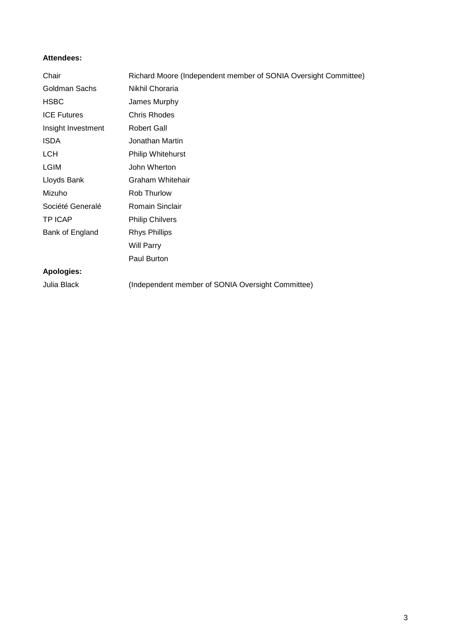#### **Attendees:**

| Chair              | Richard Moore (Independent member of SONIA Oversight Committee) |
|--------------------|-----------------------------------------------------------------|
| Goldman Sachs      | Nikhil Choraria                                                 |
| <b>HSBC</b>        | James Murphy                                                    |
| <b>ICE Futures</b> | <b>Chris Rhodes</b>                                             |
| Insight Investment | <b>Robert Gall</b>                                              |
| <b>ISDA</b>        | Jonathan Martin                                                 |
| <b>LCH</b>         | <b>Philip Whitehurst</b>                                        |
| <b>LGIM</b>        | John Wherton                                                    |
| Lloyds Bank        | Graham Whitehair                                                |
| Mizuho             | Rob Thurlow                                                     |
| Société Generalé   | Romain Sinclair                                                 |
| <b>TP ICAP</b>     | <b>Philip Chilvers</b>                                          |
| Bank of England    | <b>Rhys Phillips</b>                                            |
|                    | <b>Will Parry</b>                                               |
|                    | Paul Burton                                                     |
| <b>Apologies:</b>  |                                                                 |
| Julia Black        | (Independent member of SONIA Oversight Committee)               |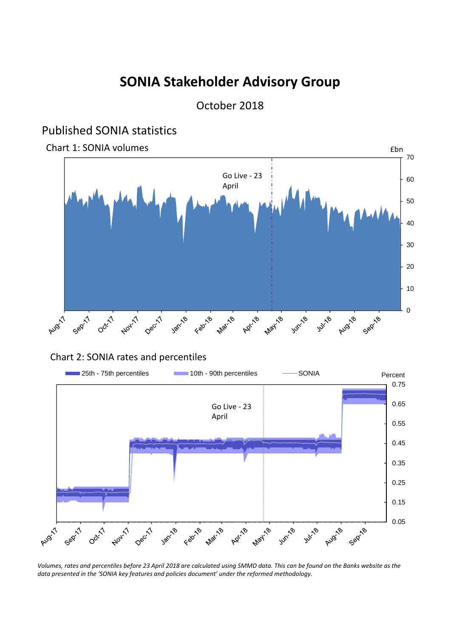# **SONIA Stakeholder Advisory Group**

October 2018

### Published SONIA statistics

Chart 1: SONIA volumes **Example 2018** 2019 12: SONIA volumes **Example 2019** 2019 12: SONIA volumes **Example 2019** 



### Chart 2: SONIA rates and percentiles



Volumes, rates and percentiles before 23 April 2018 are calculated using SMMD data. This can be found on the Banks website as the *data presented in the 'SONIA key features and policies document' under the reformed methodology.*